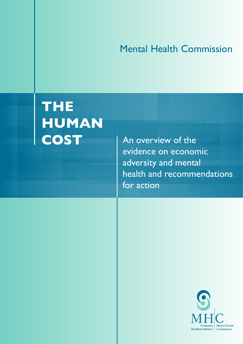# Mental Health Commission

# **THE HUMAN**

An overview of the evidence on economic adversity and mental health and recommendations for action

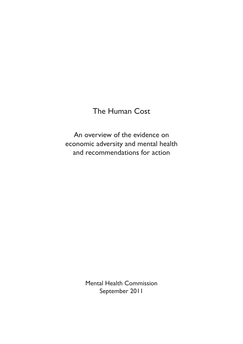# The Human Cost

An overview of the evidence on economic adversity and mental health and recommendations for action

> Mental Health Commission September 2011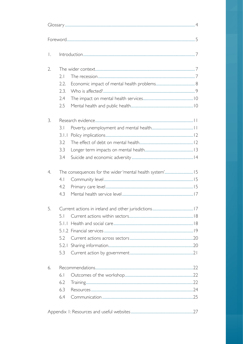| Ι. |       |  |  |
|----|-------|--|--|
| 2. |       |  |  |
|    | 2.1   |  |  |
|    | 2.2.  |  |  |
|    | 2.3.  |  |  |
|    | 2.4   |  |  |
|    | 2.5   |  |  |
| 3. |       |  |  |
|    | 3.1   |  |  |
|    | 3.1.1 |  |  |
|    | 3.2   |  |  |
|    | 3.3   |  |  |
|    | 3.4   |  |  |
| 4. |       |  |  |
|    | 4.1   |  |  |
|    | 4.2   |  |  |
|    | 4.3   |  |  |
| 5. |       |  |  |
|    | 5.1   |  |  |
|    |       |  |  |
|    |       |  |  |
|    | 5.2   |  |  |
|    |       |  |  |
|    | 5.3   |  |  |
| 6. |       |  |  |
|    | 6.1   |  |  |
|    | 6.2   |  |  |
|    | 6.3   |  |  |
|    | 6.4   |  |  |
|    |       |  |  |

|--|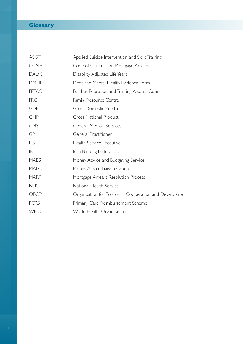# **Glossary**

| ASIST        | Applied Suicide Intervention and Skills Training      |
|--------------|-------------------------------------------------------|
| <b>CCMA</b>  | Code of Conduct on Mortgage Arrears                   |
| <b>DALYS</b> | Disability Adjusted Life Years                        |
| <b>DMHEF</b> | Debt and Mental Health Evidence Form                  |
| <b>FETAC</b> | Further Education and Training Awards Council         |
| <b>FRC</b>   | <b>Family Resource Centre</b>                         |
| <b>GDP</b>   | <b>Gross Domestic Product</b>                         |
| <b>GNP</b>   | <b>Gross National Product</b>                         |
| <b>GMS</b>   | <b>General Medical Services</b>                       |
| GP           | General Practitioner                                  |
| <b>HSE</b>   | Health Service Executive                              |
| <b>IBF</b>   | Irish Banking Federation                              |
| <b>MABS</b>  | Money Advice and Budgeting Service                    |
| <b>MALG</b>  | Money Advice Liaison Group                            |
| <b>MARP</b>  | Mortgage Arrears Resolution Process                   |
| <b>NHS</b>   | National Health Service                               |
| OECD         | Organisation for Economic Cooperation and Development |
| <b>PCRS</b>  | Primary Care Reimbursement Scheme                     |
| <b>WHO</b>   | World Health Organisation                             |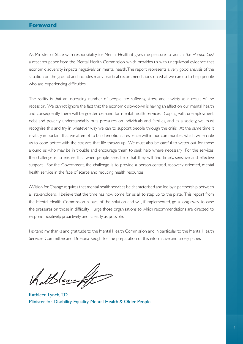As Minister of State with responsibility for Mental Health it gives me pleasure to launch *The Human Cost*  a research paper from the Mental Health Commission which provides us with unequivocal evidence that economic adversity impacts negatively on mental health. The report represents a very good analysis of the situation on the ground and includes many practical recommendations on what we can do to help people who are experiencing difficulties.

The reality is that an increasing number of people are suffering stress and anxiety as a result of the recession. We cannot ignore the fact that the economic slowdown is having an affect on our mental health and consequently there will be greater demand for mental health services. Coping with unemployment, debt and poverty understandably puts pressures on individuals and families, and as a society, we must recognise this and try in whatever way we can to support people through the crisis. At the same time it is vitally important that we attempt to build emotional resilience within our communities which will enable us to cope better with the stresses that life throws up. We must also be careful to watch out for those around us who may be in trouble and encourage them to seek help where necessary. For the services, the challenge is to ensure that when people seek help that they will find timely, sensitive and effective support. For the Government, the challenge is to provide a person-centred, recovery oriented, mental health service in the face of scarce and reducing health resources.

AVision for Change requires that mental health services be characterised and led by a partnership between all stakeholders. I believe that the time has now come for us all to step up to the plate. This report from the Mental Health Commission is part of the solution and will, if implemented, go a long away to ease the pressures on those in difficulty. I urge those organisations to which recommendations are directed, to respond positively, proactively and as early as possible.

I extend my thanks and gratitude to the Mental Health Commission and in par ticular to the Mental Health Services Committee and Dr Fiona Keogh, for the preparation of this informative and timely paper.

thatSleenft

Kathleen Lynch, T.D. Minister for Disability, Equality, Mental Health & Older People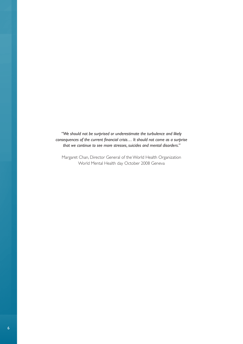*"We should not be surprised or underestimate the turbulence and likely consequences of the current financial crisis… It should not come as a surprise that we continue to see more stresses, suicides and mental disorders."* 

Margaret Chan, Director General of the World Health Organization World Mental Health day October 2008 Geneva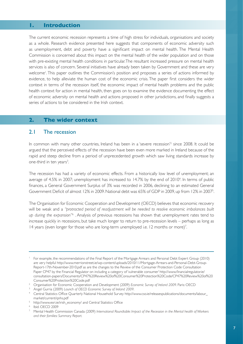#### **1. Introduction**

The current economic recession represents a time of high stress for individuals, organisations and society as a whole. Research evidence presented here suggests that components of economic adversity such as unemployment, debt and poverty have a significant impact on mental health. The Mental Health Commission is concerned about this impact on the mental health of the wider population and on those with pre-existing mental health conditions in particular. The resultant increased pressure on mental health services is also of concern. Several initiatives have already been taken by Government and these are very welcome<sup>1</sup>. This paper outlines the Commission's position and proposes a series of actions informed by evidence, to help alleviate the human cost of the economic crisis. The paper first considers the wider context in terms of the recession itself, the economic impact of mental health problems and the public health context for action in mental health, then goes on to examine the evidence documenting the effect of economic adversity on mental health and actions proposed in other jurisdictions, and finally suggests a series of actions to be considered in the Irish context.

#### **2. The wider context**

#### 2.1 The recession

In common with many other countries, Ireland has been in a 'severe recession'<sup>2</sup> since 2008. It could be argued that the perceived effects of the recession have been even more marked in Ireland because of the rapid and steep decline from a period of unprecedented growth which saw living standards increase by one-third in ten years<sup>3</sup>. .

The recession has had a variety of economic effects. From a historically low level of unemployment; an average of 4.5% in 2007; unemployment has increased to 14.7% by the end of 2010<sup>4</sup>. In terms of public finances, a General Government Surplus of 3% was recorded in 2006, declining to an estimated General Government Deficit of almost 12% in 2009. National debt was 65% of GDP in 2009, up from 12% in 2007<sup>5</sup>. .

The Organisation for Economic Cooperation and Development (OECD) believes that economic recovery will be weak and a *"protracted period of readjustment will be needed to resolve economic imbalances built up during the expansion"*<sup>6</sup> . Analysis of previous recessions has shown that unemployment rates tend to increase quickly in recessions, but take much longer to return to pre-recession levels – perhaps as long as 14 years (even longer for those who are long-term unemployed i.e. 12 months or more)<sup>7</sup>. .

For example, the recommendations of the Final Report of the Mortgage Arrears and Personal Debt Expert Group (2010) are very helpful http://www.merrionstreet.ie/wp-content/uploads/2010/11/Mor tgage-Arrears-and-Personal-Debt-Group-Report-17th-November-2010.pdf as are the changes to the Review of the Consumer Protection Code Consultation Paper CP47 by the Financial Regulator on including a category of 'vulnerable consumer' http://www.financialregulator.ie/ consultation-papers/Documents/CP47%20Review%20of%20Consumer%20Protection%20Code/CP47%20Review%20of%20

Consumer%20Protection%20Code.pdf 2 Organisation for Economic Cooperation and Development (2009) *Economic Survey of Ireland 2009*. Paris: OECD

<sup>3</sup> Angel Gurria (2009) *Launch of OECD Economic Survey of Ireland 2009*.

<sup>4</sup> Central Statistics Office Quarterly National Household Survey http://www.cso.ie/releasespublications/documents/labour\_

market/current/qnhs.pdf 5 http://www.esri.ie/irish\_economy/ and Central Statistics Office

<sup>6</sup> Ibid. OECD 2009

<sup>7</sup> Mental Health Commission Canada (2009) *International Roundtable: Impact of the Recession in the Mental health of Workers and their families: Summary Report.*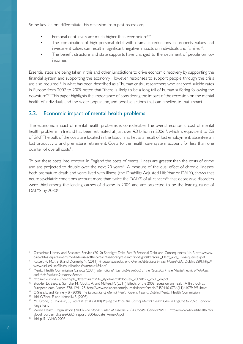Some key factors differentiate this recession from past recessions;

- Personal debt levels are much higher than ever before<sup>8</sup>,<sup>9</sup> , ;
- The combination of high personal debt with dramatic reductions in property values and investment values can result in significant negative impacts on individuals and families<sup>10</sup>;
- The benefit structure and state supports have changed to the detriment of people on low incomes.

Essential steps are being taken in this and other jurisdictions to drive economic recovery by supporting the financial system and supporting the economy. However, responses to support people through the crisis are also required<sup>11</sup>. In what has been described as a "human crisis", researchers who analysed suicide rates in Europe from 2007 to 2009 noted that "there is likely to be a long tail of human suffering following the downturn"<sup>12</sup>. This paper highlights the importance of considering the impact of the recession on the mental health of individuals and the wider population, and possible actions that can ameliorate that impact.

#### 2.2. Economic impact of mental health problems

The economic impact of mental health problems is considerable. The overall economic cost of mental health problems in Ireland has been estimated at just over €3 billion in 200613, which is equivalent to 2% of GNP.The bulk of the costs are located in the labour market as a result of lost employment, absenteeism, lost productivity and premature retirement. Costs to the health care system account for less than one quarter of overall costs<sup>14</sup>.

To put these costs into context, in England the costs of mental illness are greater than the costs of crime and are projected to double over the next 20 years<sup>15</sup>. A measure of the dual effect of chronic illnesses; both premature death and years lived with illness (the Disability Adjusted Life Year or DALY), shows that neuropsychiatric conditions account more than twice the DALYS of all cancers<sup>16</sup>, that depressive disorders were third among the leading causes of disease in 2004 and are projected to be the leading cause of DALYS by 2030<sup>17</sup>.

<sup>8</sup> Oireachtas Library and Research Service (2010) Spotlight: Debt Part 2: Personal Debt and Consequences No. 3 http://www. oireachtas.ie/parliament/media/housesoftheoireachtas/libraryresearch/spotlights/Personal\_Debt\_and\_Consequences.pdf

<sup>9</sup> Russell, H., Maitre, B. and Donnelly, N. (2011) *Financial Exclusion and Over-indebtedness in Irish Households.* Dublin: ESRI. http:// www.esri.ie/UserFiles/publications/bkmnext184.pdf

<sup>&</sup>lt;sup>10</sup> Mental Health Commission Canada (2009) International Roundtable: Impact of the Recession in the Mental health of Workers *and their families: Summary Report.* 

<sup>11</sup> http://ec.europa.eu/health/ph\_determinants/life\_style/mental/docs/ev\_20090427\_co05\_en.pdf

<sup>&</sup>lt;sup>12</sup> Stuckler, D., Basu, S., Suhrcke, M., Coutts, A. and McKee, M. (2011) Effects of the 2008 recession on health: A first look at

European data. *Lancet,* 378, 124-125. http://www.thelancet.com/journals/lancet/ar ticle/PIIS0140-6736(11)61079-9/fulltext

<sup>&</sup>lt;sup>13</sup> O'Shea, E. and Kennelly, B. (2008) *The Economics of Mental Health Care in Ireland.* Dublin: Mental Health Commission

<sup>14</sup> Ibid. O'Shea, E. and Kennelly, B. (2008)

<sup>&</sup>lt;sup>15</sup> MCCrone, P., Dhanasiri, S., Paterl, A. et al. (2008) Paying the Price. The Cost of Mental Health Care in England to 2026. London: King's Fund

<sup>16</sup> World Health Organisation (2008) *The Global Burden of Disease 2004 Update.* Geneva:WHO. http://www.who.int/healthinfo/ global\_burden\_disease/GBD\_report\_2004update\_AnnexA.pdf

<sup>17</sup> Ibid. p. 51 WHO 2008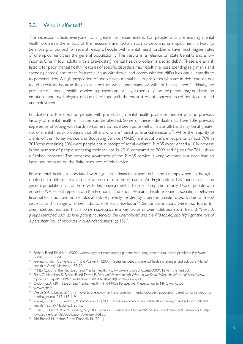#### 2.3. Who is affected?

The recession affects everyone, to a greater or lesser extent. For people with pre-existing mental health problems the impact of the recession, and factors such as debt and unemployment, is likely to be more pronounced for several reasons. People with mental health problems have much higher rates of unemployment than the general population<sup>18</sup>. This results in a reliance on state benefits and a low income. One in four adults with a pre-existing mental health problem is also in debt<sup>19</sup>. These are all risk factors for poor mental health. Features of specific disorders may result in excess spending (e.g. mania and spending sprees) and other features such as withdrawal and communication difficulties can all contribute to personal debt. A high proportion of people with mental health problems who are in debt choose not to tell creditors because they think creditors won't understand or will not believe them<sup>20</sup>. Finally, the presence of a mental health problem represents an existing vulnerability and the person may not have the emotional and psychological resources to cope with the extra stress of concerns in relation to debt and unemployment.

In addition to the effect on people with pre-existing mental health problems, people with no previous history of mental health difficulties can be affected. Some of these individuals may have little previous experience of coping with hardship (some may have been quite well off materially) and may be at greater risk of mental health problems that others who are 'inured' to financial insecurity<sup>21</sup>. While the majority of clients of the Money Advice and Budgeting Service (MABS) are social welfare recipients; almost 70% in 2010; the remaining 30% were people not in receipt of social welfare<sup>22</sup>. MABS experienced a 10% increase in the number of people accessing their service in 2010 compared to 2009 and figures for 2011 show a further increase<sup>23</sup>. The increased awareness of the MABS service is very welcome but does lead to increased pressure on the finite resources of this service.

Poor mental health is associated with significant financial strain<sup>24</sup>, debt and unemployment, although it is difficult to determine a causal relationship from the research. An English study has found that in the general population, half of those with debt have a mental disorder, compared to only 14% of people with no debts<sup>25</sup>. A recent report from the Economic and Social Research Institute found associations between financial exclusion and households at risk of poverty, headed by a person unable to work due to illness/ disability and a range of other indicators of social exclusion<sup>26</sup>. Similar associations were also found for over-indebtedness, and that income inadequacy is a key factor in over-indebtedness in Ireland; *"The risk groups identified, such as lone parent households, the unemployed and the ill/disabled, also highlight the role of a persistent lack of resources in over-indebtedness"* (p.15)<sup>27</sup>.

<sup>18</sup> Perkins, P. and Rinaldi, M. (2002) Unemployment rates among patients with long-term mental health problems. *Psychiatric Bulletin*, 26, 295-298

<sup>19</sup> Jenkins, R., Fitch, C., Hurlston, M. and Walker, F. (2009) Recession, debt and mental health: challenges and solutions. *Mental Health in Family Medicine*, 6, 85-90.

<sup>&</sup>lt;sup>20</sup> MIND (2008) In the Red: Debt and Mental Health. http://www.mind.org.uk/assets/0000/9121/in\_the\_red.pdf

<sup>21</sup> Fitch, C., Hamilton, S., Basset, P. and Davey, R. *Debt and Mental health: What do we Know? What should we do?* http://www. rcpsych.ac.uk/pdf/Debt%20and%20mental%20health%20(lit%20review).pdf

<sup>&</sup>lt;sup>22</sup> O'Connor, A. (2011) Debt and Mental Health – The MABS Perspective. Presentation to MHC workshop.

<sup>23</sup> www.mabs.ie

<sup>&</sup>lt;sup>24</sup> Weich, S. And Lewis, G. (1998) Poverty, unemployment and common mental disorders: population-based cohort study. British Medical Journal, 317, 115-119

<sup>25</sup> Jenkins, R., Fitch, C., Hurlston, M. and Walker, F. (2009) Recession, debt and mental health: challenges and solutions. *Mental Health in Family Medicine*, 6, 85-90.

<sup>&</sup>lt;sup>26</sup> Russell, H., Maitre, B. and Donnelly, N. (2011) *Financial Exclusion and Over-indebtedness in Irish Households*. Dublin: ESRI. http:// www.esri.ie/UserFiles/publications/bkmnext184.pdf

<sup>&</sup>lt;sup>27</sup> Ibid. Russell, H., Maitre, B. and Donnelly, N. (2011)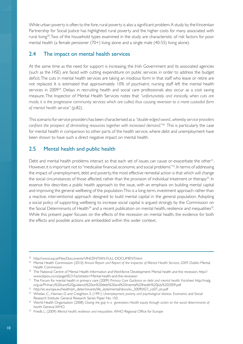While urban poverty is often to the fore, rural poverty is also a significant problem. A study by the Vincentian Partnership for Social Justice has highlighted rural poverty and the higher costs for many associated with rural living<sup>28</sup>. Two of the household types examined in the study are characteristic of risk factors for poor mental health (a female pensioner (70+) living alone and a single male (40-55) living alone).

#### 2.4 The impact on mental health services

At the same time as the need for support is increasing, the Irish Government and its associated agencies (such as the HSE) are faced with cutting expenditure on public services in order to address the budget deficit.The cuts in mental health services are taking an insidious form in that staff who leave or retire are not replaced. It is estimated that approximately 10% of psychiatric nursing staff left the mental health services in 2009<sup>29</sup>. Delays in recruiting health and social care professionals also occur as a cost saving measure. The Inspector of Mental Health Services notes that *"unfortunately and ironically, when cuts are made, it is the progressive community services which are culled, thus causing reversion to a more custodial form of mental health service"* (p.82).

Thisscenario forservice providers has been characterised as a *"double-edged sword...whereby service providers confront the prospect of diminishing resources together with increased demand."*30 This is particularly the case for mental health in comparison to other parts of the health service, where debt and unemployment have been shown to have such a direct negative impact on mental health.

# 2.5 Mental health and public health

Debt and mental health problems interact so that each set of issues can cause or exacerbate the other<sup>31</sup>. However, it is important not to "medicalise financial, economic and social problems"<sup>32</sup>. In terms of addressing the impact of unemployment, debt and poverty, the most effective remedial action is that which will change the social circumstances of those affected, rather than the provision of individual treatment or therapy<sup>33</sup>. In essence this describes a public health approach to the issue, with an emphasis on building mental capital and improving the general wellbeing of the population.This is a long-term, investment approach rather than a reactive, interventionist approach designed to build mental capital in the general population. Adopting a social policy of supporting wellbeing to increase social capital is argued strongly by the Commission on the Social Determinants of Health<sup>34</sup> and a recent publication on mental health, resilience and inequalities<sup>35</sup>. While this present paper focuses on the effects of the recession on mental health, the evidence for both the effects and possible actions are embedded within this wider context.

<sup>28</sup> http://www.svp.ie/Files/Documents/VINCENTIAN-FULL-DOCUMENT.html 29 Mental Health Commission (2010) *Annual Report and Report of the Inspector of Mental Health Services 2009*. Dublin: Mental Health Commission

<sup>&</sup>lt;sup>30</sup> The National Centre of Mental Health Information and Workforce Development: Mental health and the recession. http:// www.tepou.co.nz/page/823-Factsheets+Mental-health-and-the-recession

<sup>&</sup>lt;sup>31</sup> The Forum for mental health in primary care (2009) Primary Care Guidance on debt and mental health. Factsheet http://malg. org.uk/Primary%20care%20guidance%20on%20debt%20and%20mental%20health%20July%202009.pdf

<sup>32</sup> http://ec.europa.eu/health/ph\_determinants/life\_style/mental/docs/ev\_20090427\_co07\_en.pdf

<sup>33</sup> Whelan, C., Hannan, D and Creighton, S. (1991) *Unemployment, poverty and psychological distress.* Economic and Social Research Institute. General Research Series Paper No. 150.

<sup>34</sup> World Health Organisation (2008) *Closing the gap in a generation: Health equity through action on the social determinants of health* Geneva:WHO.

<sup>35</sup> Friedli, L. (2009) *Mental health, resilience and inequalities.* WHO Regional Office for Europe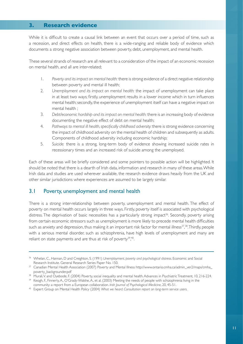#### **3. Research evidence**

While it is difficult to create a causal link between an event that occurs over a period of time, such as a recession, and direct effects on health, there is a wide-ranging and reliable body of evidence which documents a strong negative association between poverty, debt, unemployment, and mental health.

These several strands of research are all relevant to a consideration of the impact of an economic recession on mental health, and all are inter-related;

- 1. *Poverty and its impact on mental health:* there is strong evidence of a direct negative relationship between poverty and mental ill health;
- 2. *Unemployment and its impact on mental health:* the impact of unemployment can take place in at least two ways; firstly, unemployment results in a lower income which in turn influences mental health; secondly, the experience of unemployment itself can have a negative impact on mental health ;
- 3. *Debt/economic hardship and its impact on mental health:* there is an increasing body of evidence documenting the negative effect of debt on mental health;
- 4. *Pathways to mental ill health, specifically childhood adversity:* there is strong evidence concerning the impact of childhood adversity on the mental health of children and subsequently as adults. Components of childhood adversity including economic hardship;
- 5. *Suicide:* there is a strong, long-term body of evidence showing increased suicide rates in recessionary times and an increased risk of suicide among the unemployed.

Each of these areas will be briefly considered and some pointers to possible action will be highlighted. It should be noted that there is a dearth of Irish data, information and research in many of these areas. While Irish data and studies are used wherever available, the research evidence draws heavily from the UK and other similar jurisdictions where experiences are assumed to be largely similar.

#### 3.1 Poverty, unemployment and mental health

There is a strong inter-relationship between poverty, unemployment and mental health. The effect of poverty on mental health occurs largely in three ways. Firstly, poverty itself is associated with psychological distress. The deprivation of basic necessities has a particularly strong impact<sup>36</sup>. Secondly, poverty arising from certain economic stressors such as unemployment is more likely to precede mental health difficulties such as anxiety and depression, thus making it an important risk factor for mental illness<sup>37,38</sup>. Thirdly, people with a serious mental disorder, such as schizophrenia, have high levels of unemployment and many are reliant on state payments and are thus at risk of poverty<sup>39</sup>,<sup>40</sup>.

<sup>36</sup> Whelan, C., Hannan, D and Creighton, S. (1991) *Unemployment, poverty and psychological distress*. Economic and Social Research Institute. General Research Series Paper No. 150.

<sup>37</sup> Canadian Mental Health Association (2007) Poverty and Mental Illness http://www.ontario.cmha.ca/admin\_ver2/maps/cmha\_

poverty\_backgrounder.pdf<br><sup>38</sup> Murali, V. and Oyebode, F. (2004) Poverty, social inequality and mental health. Advances in Psychiatric Treatment, 10, 216-224.

<sup>&</sup>lt;sup>39</sup> Keogh, F., Finnerty, A., O'Grady-Walshe, A., et al. (2003) Meeting the needs of people with schizophrenia living in the community: a report from a European collaboration. *Irish Journal of Psychological Medicine*, 20, 45-51.

<sup>&</sup>lt;sup>40</sup> Expert Group on Mental Health Policy (2004) What we heard. Consultation report on long-term service users.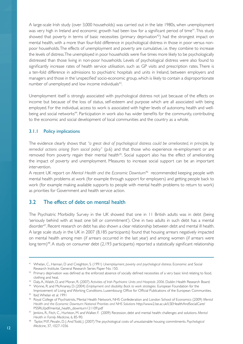A large-scale Irish study (over 3,000 households) was carried out in the late 1980s, when unemployment was very high in Ireland and economic growth had been low for a significant period of time<sup>41</sup>. This study showed that poverty in terms of basic necessities (primary deprivation<sup>42</sup>) had the strongest impact on mental health, with a more than four-fold difference in psychological distress in those in poor versus nonpoor households. The effects of unemployment and poverty are cumulative, i.e. they combine to increase the levels of distress.The unemployed in poor households were five times more likely to be psychologically distressed than those living in non-poor households. Levels of psychological distress were also found to significantly increase rates of health service utilisation, such as GP visits and prescription rates. There is a ten-fold difference in admissions to psychiatric hospitals and units in Ireland, between employers and managers and those in the 'unspecified' socio-economic group, which is likely to contain a disproportionate number of unemployed and low income individuals<sup>43</sup>.

Unemployment itself is strongly associated with psychological distress not just because of the effects on income but because of the loss of status, self-esteem and purpose which are all associated with being employed. For the individual, access to work is associated with higher levels of autonomy, health and wellbeing and social networks<sup>44</sup>. Participation in work also has wider benefits for the community, contributing to the economic and social development of local communities and the country as a whole.

#### 3.1.1 Policy implications

The evidence clearly shows that *"a great deal of psychological distress could be ameliorated, in principle, by remedial actions arising from social policy"* (p.6) and that those who experience re-employment or are removed from poverty regain their mental health<sup>45</sup>. Social support also has the effect of ameliorating the impact of poverty and unemployment. Measures to increase social support can be an important intervention.

A recent UK report on *Mental Health and the Economic Downturn<sup>46</sup>* recommended keeping people with mental health problems at work (for example through support for employers) and getting people back to work (for example making available supports to people with mental health problems to return to work) as priorities for Government and health service action.

#### 3.2 The effect of debt on mental health

The Psychiatric Morbidity Survey in the UK showed that one in 11 British adults was in debt (being 'seriously behind with at least one bill or commitment'). One in two adults in such debt has a mental disorder<sup>47</sup>. Recent research on debt has also shown a clear relationship between debt and mental ill health. A large scale study in the UK in 2007 (8,185 par ticipants) found that housing arrears negatively impacted on mental health among men (if arrears occurred in the last year) and among women (if arrears were long term)<sup>48</sup>. A study on consumer debt (2,193 participants) reported a statistically significant relationship

<sup>41</sup> Whelan, C., Hannan, D and Creighton, S. (1991) *Unemployment, poverty and psychological distress*. Economic and Social Research Institute. General Research Series Paper No. 150.

 $42$  Primary deprivation was defined as the enforced absence of socially defined necessities of a very basic kind relating to food, clothing and heat.

<sup>43</sup> Daly,A.,Walsh, D. and Moran, R. (2007) *Activities of Irish Psychiatric Units and Hospitals 2006.* Dublin: Health Research Board.

<sup>44</sup> Wynne, R. and McAnaney, D. (2004) *Employment and disability: Back to work strategies.* European Foundation for the Improvement of Living and Working Conditions. Luxembourg: Office for Official Publications of the European Communities.

<sup>45</sup> Ibid.Whelan et al. 1991

<sup>46</sup> Royal College of Psychiatrists, Mental Health Network, NHS Confederation and London School of Economics (2009) *Mental Health and the Economic Downturn: National Priorities and NHS Solutions* http://www2.lse.ac.uk/LSEHealthAndSocialCare/ PSSRU/pdf/mental\_health\_downturn121109.pdf

<sup>47</sup> Jenkins, R., Fitch, C., Hurlston, M. and Walker, F. (2009) Recession, debt and mental health: challenges and solutions. *Mental Health in Family Medicine*, 6, 85-90.

<sup>48</sup> Taylor, M.P., Pevalin, D. J.AndTodd, J. (2007)The psychological costs of unsustainable housing commitments. *Psychological Medicine*, 37, 1027-1036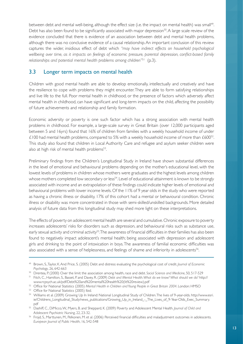between debt and mental well-being, although the effect size (i.e. the impact on mental health) was small<sup>49</sup>. Debt has also been found to be significantly associated with major depression<sup>50</sup>. A large scale review of the evidence concluded that there is evidence of an association between debt and mental health problems, although there was no conclusive evidence of a causal relationship. An important conclusion of this review captures the wider, insidious effect of debt which *"may have indirect effects on household psychological wellbeing over time, as it impacts on feelings of economic pressure, parental depression, conflict-based family relationships and potential mental health problems among children"*51 (p.3).

#### 3.3 Longer term impacts on mental health

Children with good mental health are able to develop emotionally, intellectually and creatively and have the resilience to cope with problems they might encounter.They are able to form satisfying relationships and live life to the full. Poor mental health in childhood, or the presence of factors which adversely affect mental health in childhood, can have significant and long-term impacts on the child, affecting the possibility of future achievements and relationship and family formation.

Economic adversity or poverty is one such factor which has a strong association with mental health problems in childhood. For example, a large-scale survey in Great Britain (over 12,000 participants aged between 5 and 16yrs) found that 16% of children from families with a weekly household income of under  $\pm$ 100 had mental health problems, compared to 5% with a weekly household income of more than  $\pm$ 600<sup>52</sup>. This study also found that children in Local Authority Care and refugee and asylum seeker children were also at high risk of mental health problems<sup>53</sup>.

Preliminary findings from the Children's Longitudinal Study in Ireland have shown substantial differences in the level of emotional and behavioural problems depending on the mother's educational level, with the lowest levels of problems in children whose mothers were graduates and the highest levels among children whose mothers completed low secondary or less<sup>54</sup>. Level of educational attainment is known to be strongly associated with income and an extrapolation of these findings could indicate higher levels of emotional and behavioural problems with lower income levels. Of the 11% of 9 year olds in the study who were reported as having a chronic illness or disability, 17% of this cohort had a mental or behavioural condition. Chronic illness or disability was more concentrated in those with semi-skilled/unskilled backgrounds. More detailed analysis of future data from this longitudinal study may shed more light on these interpretations.

The effects of poverty on adolescent mental health are several and cumulative. Chronic exposure to poverty increases adolescents' risks for disorders such as depression, and behavioural risks such as substance use, early sexual activity and criminal activity<sup>55</sup>. The awareness of financial difficulties in their families has also been found to negatively impact adolescent's mental health; being associated with depression and adolescent girls and drinking to the point of intoxication in boys.The awareness of familial economic difficulties was also associated with a sense of helplessness, and feelings of shame and inferiority in adolescents<sup>56</sup>.

<sup>49</sup> Brown, S.,Taylor, K.And Price, S. (2005) Debt and distress: evaluating the psychological cost of credit. *Journal of Economic Psychology*, 26, 642-663

<sup>50</sup> Drentea, P. (2000) Over the limit: the association among health, race and debt. *Social Science and Medicine*, 50, 517-529

<sup>51</sup> Fitch, C., Hamilton, S., Basset, P. and Davey, R. (2009) *Debt and Mental Health. What do we know? What should we do?* http:// www.rcpsych.ac.uk/pdf/Debt%20and%20mental%20health%20(lit%20review).pdf

<sup>52</sup> Office for National Statistics (2005) *Mental Health in Children and Young People in Great Britain 2004*. London: HMSO

<sup>53</sup> Office for National Statistics (2005) Ibid.

<sup>54</sup> Williams et al. (2009) Growing Up In Ireland: National Longitudinal Study of Children.The lives of 9-year-olds. http://www.esri. ie/Childrens\_Longitudinal\_Study/news\_publications/Growing\_Up\_in\_Ireland\_-\_The\_Lives\_of\_9-Year-Olds\_Exec\_Summary. pdf

<sup>55</sup> Dashiff, C., DiMicco,W., Myers, B. and Sheppard, K. (2009) Pover ty and Adolescent Mental Health. *Journal of Child and Adolescent Psychiatric Nursing*, 22, 23-32.

<sup>56</sup> Frojd, S., Marttunen, M., Pelkonen, M. et al. (2006) Perceived financial difficulties and maladjustment outcomes in adolescents. *European Journal of Public Health*, 16, 542-548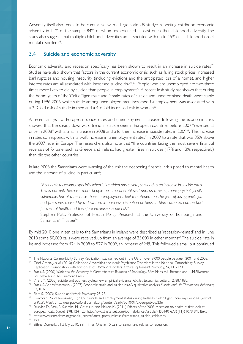Adversity itself also tends to be cumulative, with a large scale US study<sup>57</sup> reporting childhood economic adversity in 11% of the sample, 84% of whom experienced at least one other childhood adversity.The study also suggests that multiple childhood adversities are associated with up to 45% of all childhood-onset mental disorders<sup>58</sup>.

#### 3.4 Suicide and economic adversity

Economic adversity and recession specifically has been shown to result in an increase in suicide rates<sup>59</sup>. Studies have also shown that factors in the current economic crisis, such as falling stock prices, increased bankruptcies and housing insecurity (including evictions and the anticipated loss of a home), and higher interest rates are all associated with increased suicide risk<sup>60</sup>,<sup>61</sup>. People who are unemployed are two-three times more likely to die by suicide than people in employment<sup>62</sup>. A recent Irish study has shown that during the boom years of the 'Celtic Tiger' male and female rates of suicide and undetermined death were stable during 1996-2006, while suicide among unemployed men increased. Unemployment was associated with a 2-3 fold risk of suicide in men and a 4-6 fold increased risk in women<sup>63</sup>.

A recent analysis of European suicide rates and unemployment increases following the economic crisis showed that the steady downward trend in suicide seen in European countries before 2007 "reversed at once in 2008" with a small increase in 2008 and a further increase in suicide rates in 2009<sup>64</sup>. This increase in rates corresponds with "a swift increase in unemployment rates"in 2009 to a rate that was 35% above the 2007 level in Europe.The researchers also note that "the countries facing the most severe financial reversals of fortune, such as Greece and Ireland, had greater rises in suicides (17% and 13%, respectively) than did the other countries".

In late 2008 the Samaritans were warning of the risk the deepening financial crisis posed to mental health and the increase of suicide in particular<sup>65</sup>;

*"Economic recession, especially when it is sudden and severe, can lead to an increase in suicide rates. This is not only because more people become unemployed and, as a result, more psychologically vulnerable, but also because those in employment feel threatened too. The fear of losing one's job and pressures caused by a downturn in business, demotion or pension plan cutbacks can be bad for mental health and therefore increase suicide risk."* 

Stephen Platt, Professor of Health Policy Research at the University of Edinburgh and Samaritans' Trustee<sup>66</sup>.

By mid 2010 one in ten calls to the Samaritans in Ireland were described as'recession-related' and in June 2010 some 50,000 calls were received, up from an average of 35,000 in other months<sup>67</sup>. The suicide rate in Ireland increased from 424 in 2008 to 527 in 2009, an increase of 24%.This followed a small but continued

<sup>57</sup> The National Co-morbidity Survey Replication was carried out in the US on over 9,000 people between 2001 and 2003.

<sup>58</sup> Grief Green, J. *et al.* (2010) Childhood Adversities and Adult Psychiatric Disorders in the National Comorbidity Survey Replication I:Association with first onset of DSM-IV disorders. *Archives of General Psychiatry*, 67, 113-123

<sup>59</sup> Stack, S. (2000) *Work and the Economy, in Comprehensive Textbook of Suicidology*, R.W. Maris,A.L. Berman and M.M.Sliverman, Eds. NewYork:The Guildford Press

<sup>60</sup> Viren, M. (2005) Suicide and business cycles: new empirical evidence. *Applied Economics Letters*, 12, 887-892

<sup>61</sup> Stack, S.And Wasserman, I. (2007) Economic strain and suicide risk:A qualitative analysis. *Suicide and Life-Threatening Behaviour,*  37, 103-112

<sup>62</sup> Platt, S. (2003) Suicide and Work. *Psychiatry*, 25-28.

<sup>63</sup> Corcoran, P. and Arensman, E. (2009) Suicide and employment status during Ireland's CelticTiger Economy. *European Journal of Public Health*, http://eurpub.oxfordjournals.org/content/early/2010/01/27/eurpub.ckp236

<sup>64</sup> Stuckler, D., Basu, S., Suhrcke, M., Coutts,A. and McKee, M. (2011) Effects of the 2008 recession on health:A first look at European data. *Lancet,* 378, 124-125. http://www.thelancet.com/journals/lancet/ar ticle/PIIS0140-6736(11)61079-9/fulltext

<sup>65</sup> http://www.samaritans.org/media\_centre/latest\_press\_releases/samaritans\_suicide\_crisis.aspx

<sup>66</sup> Ibid.

<sup>&</sup>lt;sup>67</sup> Eithne Donnellan, 1st July 2010, Irish Times, One in 10 calls to Samaritans relates to recession.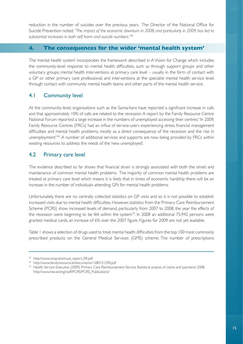reduction in the number of suicides over the previous years. The Director of the National Office for Suicide Prevention noted;*"The impact of the economic downturn in 2008, and particularly in 2009, has led to substantial increases in both self harm and suicide numbers."*<sup>68</sup>

#### **4. The consequences for the wider 'mental health system'**

The 'mental health system' incorporates the framework described in A Vision for Change which includes; the community-level response to mental health difficulties, such as through support groups and other voluntary groups; mental health interventions at primary care level – usually in the form of contact with a GP or other primary care professional; and interventions at the specialist mental health service level, through contact with community mental health teams and other parts of the mental health service.

## 4.1 Community level

At the community-level, organisations such as the Samaritans have reported a significant increase in calls and that approximately 10% of calls are related to the recession. A report by the Family Resource Centre National Forum reported a large increase in the numbers of unemployed accessing their centres; "In 2009, Family Resource Centres (FRCs) had an influx of service-users experiencing stress, financial management difficulties and mental health problems, mostly as a direct consequence of the recession and the rise in unemployment"<sup>69</sup>. A number of additional services and supports are now being provided by FRCs within existing resources to address the needs of the 'new unemployed'.

## 4.2 Primary care level

The evidence described so far shows that financial strain is strongly associated with both the onset and maintenance of common mental health problems. The majority of common mental health problems are treated at primary care level which means it is likely that in times of economic hardship there will be an increase in the number of individuals attending GPs for mental health problems.

Unfortunately, there are no centrally collected statistics on GP visits and so it is not possible to establish increased visits due to mental health difficulties. However, statistics from the Primary Care Reimbursement Scheme (PCRS) show increased levels of demand, particularly from 2007 to 2008, the year the effects of the recession were beginning to be felt within the system<sup>70</sup>. In 2008 an additional 75,942 persons were granted medical cards, an increase of 6% over the 2007 figure. Figures for 2009 are not yet available.

Table 1 shows a selection of drugs used to treat mental health difficulties from the top 100 most commonly prescribed products on the General Medical Services (GMS) scheme. The number of prescriptions

<sup>68</sup> http://www.nosp.ie/annual\_report\_09.pdf

<sup>69</sup> http://www.familyresource.ie/documents/1280151290.pdf

<sup>&</sup>lt;sup>70</sup> Health Service Executive (2009) Primary Care Reimbursement Service Statistical analysis of claims and payments 2008. http://www.hse.ie/eng/staff/PCRS/PCRS\_Publications/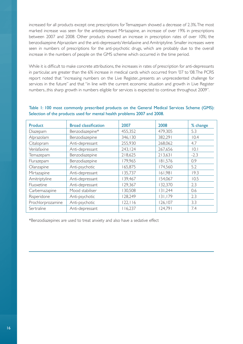increased for all products except one; prescriptions for Temazepam showed a decrease of 2.3%. The most marked increase was seen for the antidepressant Mirtazapine, an increase of over 19% in prescriptions between 2007 and 2008. Other products showed an increase in prescription rates of over 10%; the benzodiazepine Alprazolam and the anti-depressants Venlafaxine and Amitriptyline. Smaller increases were seen in numbers of prescriptions for the anti-psychotic drugs, which are probably due to the overall increase in the numbers of people on the GMS scheme which occurred in the time period.

While it is difficult to make concrete attributions, the increases in rates of prescription for anti-depressants in particular, are greater than the 6% increase in medical cards which occurred from '07 to '08. The PCRS report noted that "increasing numbers on the Live Register...presents an unprecedented challenge for services in the future" and that "in line with the current economic situation and growth in Live Register numbers...this sharp growth in numbers eligible for services is expected to continue throughout 2009".

| <b>Product</b>    | <b>Broad classification</b> | 2007     | 2008     | % change |
|-------------------|-----------------------------|----------|----------|----------|
| Diazepam          | Benzodiazepine*             | 455,352  | 479,305  | 5.3      |
| Alprazolam        | Benzodiazepine              | 346,130  | 382,291  | 10.4     |
| Citalopram        | Anti-depressant             | 255,930  | 268,062  | 4.7      |
| Venlafaxine       | Anti-depressant             | 243,124  | 267,656  | 0.1      |
| Temazepam         | Benzodiazepine              | 218,625  | 213,631  | $-2.3$   |
| Flurazepam        | Benzodiazepine              | 179,965  | 181,576  | 0.9      |
| Olanzapine        | Anti-psychotic              | 165,875  | 174,560  | 5.2      |
| Mirtazapine       | Anti-depressant             | 135,737  | 161,981  | 19.3     |
| Amitriptyline     | Anti-depressant             | 139,467  | 154,067  | 10.5     |
| Fluoxetine        | Anti-depressant             | 129,367  | 132,370  | 2.3      |
| Carbemazapine     | Mood stabiliser             | 30,508   | 131,244  | 0.6      |
| Risperidone       | Anti-psychotic              | 128,249  | 131,179  | 2.3      |
| Prochlorprozamine | Anti-psychotic              | 122, 116 | 126, 107 | 3.3      |
| Sertraline        | Anti-depressant             | 116,237  | 124,791  | 7.4      |

#### Table 1: 100 most commonly prescribed products on the General Medical Services Scheme (GMS): Selection of the products used for mental health problems 2007 and 2008.

\*Benzodiazepines are used to treat anxiety and also have a sedative effect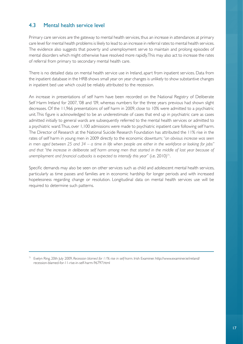# 4.3 Mental health service level

Primary care services are the gateway to mental health services, thus an increase in attendances at primary care level for mental health problems is likely to lead to an increase in referral rates to mental health services. The evidence also suggests that poverty and unemployment serve to maintain and prolong episodes of mental disorders which might otherwise have resolved more rapidly.This may also act to increase the rates of referral from primary to secondary mental health care.

There is no detailed data on mental health service use in Ireland, apart from inpatient services. Data from the inpatient database in the HRB shows small year on year changes is unlikely to show substantive changes in inpatient bed use which could be reliably attributed to the recession.

An increase in presentations of self harm have been recorded on the National Registry of Deliberate Self Harm Ireland for 2007, '08 and '09, whereas numbers for the three years previous had shown slight decreases. Of the 11,966 presentations of self harm in 2009, close to 10% were admitted to a psychiatric unit.This figure is acknowledged to be an underestimate of cases that end up in psychiatric care as cases admitted initially to general wards are subsequently referred to the mental health services or admitted to a psychiatric ward.Thus, over 1,100 admissions were made to psychiatric inpatient care following self harm. The Director of Research at the National Suicide Research Foundation has attributed the 11% rise in the rates of self harm in young men in 2009 directly to the economic downturn;*"an obvious increase was seen in men aged between 25 and 34 – a time in life when people are either in the workforce or looking for jobs"*  and that "the increase in deliberate self harm among men that started in the middle of last year because of *unemployment and financial cutbacks is expected to intensify this year"* (i.e. 2010)<sup>71</sup>.

Specific demands may also be seen on other services such as child and adolescent mental health services, particularly as time passes and families are in economic hardship for longer periods and with increased hopelessness regarding change or resolution. Longitudinal data on mental health services use will be required to determine such patterns.

<sup>71</sup> Evelyn Ring, 20th July 2009, *Recession blamed for 11% rise in self-harm*. Irish Examiner. http://www.examiner.ie/ireland/ recession-blamed-for-11-rise-in-self-harm-96797.html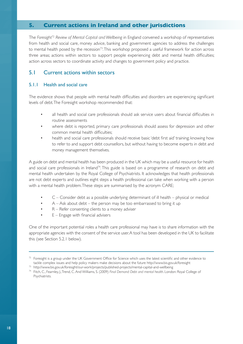#### **5. Current actions in Ireland and other jurisdictions**

The *Foresight*<sup>72</sup> *Review of Mental Capital and Wellbeing* in England convened a workshop of representatives from health and social care, money advice, banking and government agencies to address the challenges to mental health posed by the recession<sup>73</sup>. This workshop proposed a useful framework for action across three areas; actions within sectors to support people experiencing debt and mental health difficulties; action across sectors to coordinate activity and changes to government policy and practice.

#### 5.1 Current actions within sectors

#### 5.1.1 Health and social care

The evidence shows that people with mental health difficulties and disorders are experiencing significant levels of debt.The Foresight workshop recommended that:

- all health and social care professionals should ask service users about financial difficulties in routine assessments
- where debt is reported, primary care professionals should assess for depression and other common mental health difficulties;
- health and social care professionals should receive basic 'debt first aid' training; knowing how to refer to and support debt counsellors, but without having to become experts in debt and money management themselves.

A guide on debt and mental health has been produced in the UK which may be a useful resource for health and social care professionals in Ireland<sup>74</sup>. This guide is based on a programme of research on debt and mental health undertaken by the Royal College of Psychiatrists. It acknowledges that health professionals are not debt experts and outlines eight steps a health professional can take when working with a person with a mental health problem.These steps are summarised by the acronym CARE;

- C Consider debt as a possible underlying determinant of ill health physical or medical
- $A Ask$  about debt the person may be too embarrassed to bring it up
- R Refer consenting clients to a money adviser
- $E$  Engage with financial advisers

One of the important potential roles a health care professional may have is to share information with the appropriate agencies with the consent of the service user.A tool has been developed in the UK to facilitate this (see Section 5.2.1 below).

 $72$  Foresight is a group under the UK Government Office for Science which uses the latest scientific and other evidence to tackle complex issues and help policy makers make decisions about the future http://www.bis.gov.uk/foresight<br>
<sup>73</sup> http://www.bis.gov.uk/foresight/our-work/projects/published-projects/mental-capital-and-wellbeing<br>
<sup>74</sup> Fit

Psychiatrists.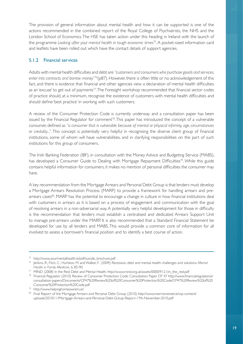The provision of general information about mental health and how it can be supported is one of the actions recommended in the combined report of the Royal College of Psychiatrists, the NHS and the London School of Economics.The HSE has taken action under this heading in Ireland with the launch of the programme *Looking after your mental health in tough economic times*75.A pocket-sized information card and leaflets have been rolled out which have the contact details of support agencies.

#### 5.1.2 Financial services

Adults with mental health difficulties and debt are *"customers and consumers who purchase goods and services, enter into contracts and borrow money"*76(p87). However, there is often little or no acknowledgement of this fact, and there is evidence that financial and other agencies view a declaration of mental health difficulties as an 'excuse' to get out of payments<sup>77</sup>. The Foresight workshop recommended that financial sector codes of practice should, at a minimum, recognise the existence of customers with mental health difficulties and should define 'best practice' in working with such customers.

A review of the Consumer Protection Code is currently underway and a consultation paper has been issued by the Financial Regulator for comment<sup>78</sup>. This paper has introduced the concept of a vulnerable consumer, defined as *"a consumer that is vulnerable because of mental or physical infirmity, age, circumstances or credulity..."*. This concept is potentially very helpful in recognising the diverse client group of financial institutions, some of whom will have vulnerabilities, and in clarifying responsibilities on the part of such institutions for this group of consumers.

The Irish Banking Federation (IBF), in consultation with the Money Advice and Budgeting Service (MABS), has developed a Consumer Guide to Dealing with Mortgage Repayment Difficulties<sup>79</sup>. While this guide contains helpful information for consumers, it makes no mention of personal difficulties the consumer may have.

A key recommendation from the Mortgage Arrears and Personal Debt Group is that lenders must develop a Mortgage Arrears Resolution Process (MARP) to provide a framework for handling arrears and prearrears cases<sup>80</sup>. MARP has the potential to encourage a change in culture in how financial institutions deal with customers in arrears as it is based on a process of engagement and communication with the goal of resolving arrears in a non-adversarial way.A potentially very helpful development for those in difficulty is the recommendation that lenders must establish a centralised and dedicated Arrears Support Unit to manage pre-arrears under the MARP. It is also recommended that a Standard Financial Statement be developed for use by all lenders and MABS. This would provide a common core of information for all involved to assess a borrower's financial position and to identify a best course of action.

<sup>75</sup> http://www.yourmentalhealth.ie/pdf/suicide\_brochure.pdf

<sup>76</sup> Jenkins, R., Fitch, C., Hurlston, M. and Walker, F. (2009) Recession, debt and mental health: challenges and solutions. *Mental Health in Family Medicine,* 6, 85-90.

<sup>77</sup> MIND (2008) In the Red: Debt and Mental Health. http://www.mind.org.uk/assets/0000/9121/in\_the\_red.pdf

<sup>78</sup> Financial Regulator (2010) Review of Consumer Protection Code. Consultation Paper CP 47 http://www.financialregulator.ie/ consultation-papers/Documents/CP47%20Review%20of%20Consumer%20Protection%20Code/CP47%20Review%20of%20 Consumer%20Protection%20Code.pdf

<sup>79</sup> http://www.helpinghomeowners.ie/

<sup>80</sup> Final Report of the Mortgage Arrears and Personal Debt Group (2010) http://www.merrionstreet.ie/wp-content/ uploads/2010/11/Mortgage-Arrears-and-Personal-Debt-Group-Report-17th-November-2010.pdf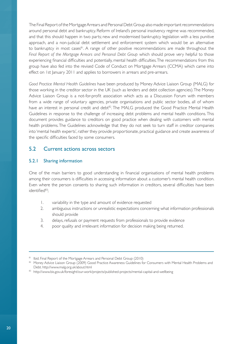The Final Report of the Mortgage Arrears and Personal Debt Group also made important recommendations around personal debt and bankruptcy. Reform of Ireland's personal insolvency regime was recommended, and that this should happen in two parts; new and modernised bankruptcy legislation with a less punitive approach, and a non-judicial debt settlement and enforcement system which would be an alternative to bankruptcy in most cases<sup>81</sup>. A range of other positive recommendations are made throughout the *Final Report of the Mortgage Arrears and Personal Debt Group* which should prove very helpful to those experiencing financial difficulties and potentially, mental health difficulties.The recommendations from this group have also fed into the revised Code of Conduct on Mortgage Arrears (CCMA) which came into effect on 1st January 2011 and applies to borrowers in arrears and pre-arrears.

*Good Practice Mental Health Guidelines* have been produced by Money Advice Liaison Group (MALG) for those working in the creditor sector in the UK (such as lenders and debt collection agencies).The Money Advice Liaison Group is a not-for-profit association which acts as a Discussion Forum with members from a wide range of voluntary agencies, private organisations and public sector bodies, all of whom have an interest in personal credit and debt<sup>82</sup>. The MALG produced the Good Practice Mental Health Guidelines in response to the challenge of increasing debt problems and mental health conditions. This document provides guidance to creditors on good practice when dealing with customers with mental health problems.The Guidelines acknowledge that they do not seek to turn staff in creditor companies into 'mental health experts', rather they provide proportionate, practical guidance and create awareness of the specific difficulties faced by some consumers.

#### 5.2 Current actions across sectors

#### 5.2.1 Sharing information

One of the main barriers to good understanding in financial organisations of mental health problems among their consumers is difficulties in accessing information about a customer's mental health condition. Even where the person consents to sharing such information in creditors, several difficulties have been identified<sup>83</sup>;

- 1. variability in the type and amount of evidence requested
- 2. ambiguous instructions or unrealistic expectations concerning what information professionals should provide
- 3. delays, refusals or payment requests from professionals to provide evidence
- 4. poor quality and irrelevant information for decision making being returned.

<sup>81</sup> Ibid. Final Report of the Mortgage Arrears and Personal Debt Group (2010)

<sup>82</sup> Money Advice Liaison Group (2009) Good Practice Awareness Guidelines for Consumers with Mental Health Problems and Debt. http://www.malg.org.uk/about.html

<sup>83</sup> http://www.bis.gov.uk/foresight/our-work/projects/published-projects/mental-capital-and-wellbeing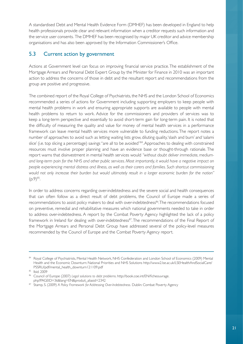A standardised Debt and Mental Health Evidence Form (DMHEF) has been developed in England to help health professionals provide clear and relevant information when a creditor requests such information and the service user consents. The DMHEF has been recognised by major UK creditor and advice membership organisations and has also been approved by the Information Commissioner's Office.

# 5.3 Current action by government

Actions at Government level can focus on improving financial service practice.The establishment of the Mortgage Arrears and Personal Debt Expert Group by the Minister for Finance in 2010 was an important action to address the concerns of those in debt and the resultant report and recommendations from the group are positive and progressive.

The combined report of the Royal College of Psychiatrists, the NHS and the London School of Economics recommended a series of actions for Government including supporting employers to keep people with mental health problems in work and ensuring appropriate supports are available to people with mental health problems to return to work. Advice for the commissioners and providers of services was to keep a long-term perspective and essentially to avoid short-term gain for long-term pain. It is noted that the difficulty of measuring the quality and value for money of mental health services in a performance framework can leave mental health services more vulnerable to funding reductions. The report notes a number of approaches to avoid such as letting waiting lists grow, diluting quality,'slash and burn' and 'salami slice' (i.e. top slicing a percentage) savings "are all to be avoided"<sup>84</sup>. Approaches to dealing with constrained resources must involve proper planning and have an evidence base or thought-through rationale. The report warns that disinvestment in mental health services would "without doubt deliver immediate, medium*and long-term pain for the NHS and other public services. Most importantly, it would have a negative impact on people experiencing mental distress and illness, as well as their carers and families. Such shortcut commissioning would not only increase their burden but would ultimately result in a larger economic burden for the nation"*   $(p.9)^{85}$ .

In order to address concerns regarding over-indebtedness and the severe social and health consequences that can often follow as a direct result of debt problems, the Council of Europe made a series of recommendations to assist policy makers to deal with over-indebtedness<sup>86</sup>. The recommendations focused on preventive, remedial and rehabilitative measures which national governments needed to take in order to address over-indebtedness. A report by the Combat Poverty Agency highlighted the lack of a policy framework in Ireland for dealing with over-indebtedness<sup>87</sup>. The recommendations of the Final Report of the Mortgage Arrears and Personal Debt Group have addressed several of the policy-level measures recommended by the Council of Europe and the Combat Poverty Agency report.

<sup>84</sup> Royal College of Psychiatrists, Mental Health Network, NHS Confederation and London School of Economics (2009) Mental Health and the Economic Downturn: National Priorities and NHS Solutions http://www2.lse.ac.uk/LSEHealthAndSocialCare/ PSSRU/pdf/mental\_health\_downturn121109.pdf

<sup>85</sup> Ibid. 2009

<sup>86</sup> Council of Europe (2007) *Legal solutions to debt problems*. http://book.coe.int/EN/ficheouvrage. php?PAGEID=36&lang=EN&produit\_aliasid=2342

<sup>87</sup> Stamp, S. (2009) A Policy Framework for Addressing Over-Indebtedness. Dublin: Combat Poverty Agency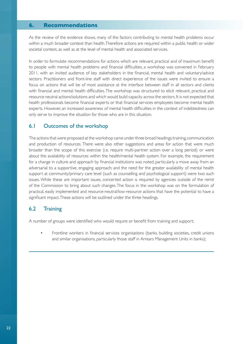#### **6. Recommendations**

As the review of the evidence shows, many of the factors contributing to mental health problems occur within a much broader context than health.Therefore actions are required within a public health or wider societal context, as well as at the level of mental health and associated services.

In order to formulate recommendations for actions which are relevant, practical and of maximum benefit to people with mental health problems and financial difficulties, a workshop was convened in February 2011, with an invited audience of key stakeholders in the financial, mental health and voluntary/advice sectors. Practitioners and front-line staff with direct experience of the issues were invited to ensure a focus on actions that will be of most assistance at the interface between staff in all sectors and clients with financial and mental health difficulties.The workshop was structured to elicit relevant, practical and resource neutral actions/solutions and which would build capacity across the sectors. It is not expected that health professionals become financial experts or that financial services employees become mental health experts. However, an increased awareness of mental health difficulties in the context of indebtedness can only serve to improve the situation for those who are in this situation.

#### 6.1 Outcomes of the workshop

The actions that were proposed at the workshop came under three broad headings; training, communication and production of resources. There were also other suggestions and areas for action that were much broader than the scope of this exercise (i.e. require multi-partner action over a long period) or were about the availability of resources within the health/mental health system. For example, the requirement for a change in culture and approach by financial institutions was noted, particularly a move away from an adversarial to a supportive, engaging approach; and the need for the greater availability of mental health support at community/primary care level (such as counselling and psychological support) were two such issues. While these are important issues, concerted action is required by agencies outside of the remit of the Commission to bring about such changes.The focus in the workshop was on the formulation of practical, easily implemented and resource-neutral/low-resource actions that have the potential to have a significant impact.These actions will be outlined under the three headings.

#### 6.2 Training

A number of groups were identified who would require or benefit from training and support;

• Frontline workers in financial services organisations (banks, building societies, credit unions and similar organisations, particularly those staff in Arrears Management Units in banks);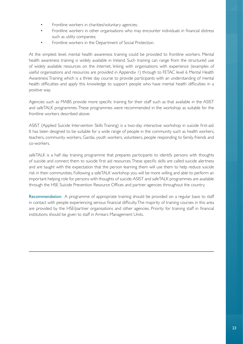- Frontline workers in charities/voluntary agencies;
- Frontline workers in other organisations who may encounter individuals in financial distress such as utility companies;
- Frontline workers in the Department of Social Protection.

At the simplest level, mental health awareness training could be provided to frontline workers. Mental health awareness training is widely available in Ireland. Such training can range from the structured use of widely available resources on the internet, linking with organisations with experience (examples of useful organisations and resources are provided in Appendix 1) through to FETAC level 6 Mental Health Awareness Training which is a three day course to provide participants with an understanding of mental health difficulties and apply this knowledge to support people who have mental health difficulties in a positive way.

Agencies such as MABS provide more specific training for their staff such as that available in the ASIST and safeTALK programmes.These programmes were recommended in the workshop as suitable for the frontline workers described above.

ASIST (Applied Suicide Intervention Skills Training) is a two-day interactive workshop in suicide first-aid. It has been designed to be suitable for a wide range of people in the community such as health workers, teachers, community workers, Gardai, youth workers, volunteers, people responding to family, friends and co-workers.

safeTALK is a half day training programme that prepares participants to identify persons with thoughts of suicide and connect them to suicide first aid resources. These specific skills are called suicide alertness and are taught with the expectation that the person learning them will use them to help reduce suicide risk in their communities. Following a safeTALK workshop you will be more willing and able to perform an important helping role for persons with thoughts of suicide. ASIST and safeTALK programmes are available through the HSE Suicide Prevention Resource Offices and partner agencies throughout the country.

Recommendation: A programme of appropriate training should be provided on a regular basis to staff in contact with people experiencing serious financial difficulty.The majority of training courses in this area are provided by the HSE/partner organisations and other agencies. Priority for training staff in financial institutions should be given to staff in Arrears Management Units.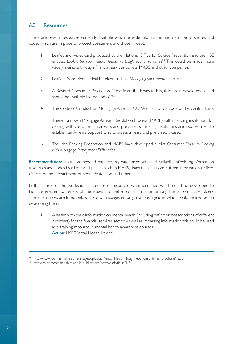### 6.3 Resources

There are several resources currently available which provide information and describe processes and codes which are in place to protect consumers and those in debt:

- 1. Leaflet and wallet card produced by the National Office for Suicide Prevention and the HSE entitled *Look after your mental health in tough economic times*<sup>88</sup>. This could be made more widely available through financial services outlets, MABS and utility companies.
- 2. Leaflets from Mental Health Ireland such as *Managing your mental health*89.
- 3. A Revised Consumer Protection Code from the Financial Regulator is in development and should be available by the end of 2011.
- 4. The Code of Conduct on Mortgage Arrears (CCMA), a statutory code of the Central Bank.
- 5. There is a now a Mortgage Arrears Resolution Process (MARP) within lending institutions for dealing with customers in arrears and pre-arrears. Lending institutions are also required to establish an Arrears Support Unit to assess arrears and pre-arrears cases.
- 6. The Irish Banking Federation and MABS have developed a joint *Consumer Guide to Dealing with Mortgage Repayment Difficulties.*

Recommendation: It is recommended that there is greater promotion and availability of existing information resources and codes by all relevant parties such as MABS, financial institutions, Citizen Information Offices, Offices of the Department of Social Protection and others.

In the course of the workshop, a number of resources were identified which could be developed to facilitate greater awareness of the issues and better communication among the various stakeholders. These resources are listed below along with suggested organisations/agencies which could be involved in developing them:

1. A leaflet with basic information on mental health (including definitions/descriptions of different disorders) for the financial services sector. As well as imparting information this could be used as a training resource in mental health awareness courses. Action: HSE/Mental Health Ireland

<sup>88</sup> http://www.yourmentalhealth.ie/images/uploads/Mental\_Health\_Tough\_economic\_times\_Brochure(1).pdf

<sup>89</sup> http://www.mentalhealthireland.ie/publications/downloads/finish/1/5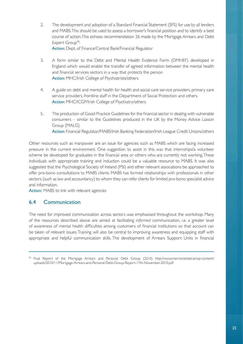- 2. The development and adoption of a Standard Financial Statement (SFS) for use by all lenders and MABS.This should be used to assess a borrower's financial position and to identify a best course of action. This echoes recommendation 26 made by the Mortgage Arrears and Debt Expert Group<sup>90</sup>. Action: Dept. of Finance/Central Bank/Financial Regulator
- 3. A form similar to the Debt and Mental Health Evidence Form (DMHEF) developed in England which would enable the transfer of agreed information between the mental health and financial services sectors in a way that protects the person Action: MHC/Irish College of Psychiatrists/others
- 4. A guide on debt and mental health for health and social care service providers, primary care service providers, frontline staff in the Department of Social Protection and others. Action: MHC/ICGP/Irish College of Psychiatry/others
- 5. The production of Good Practice Guidelines for the financial sector in dealing with vulnerable consumers – similar to the Guidelines produced in the UK by the Money Advice Liaison Group (MALG) Action: Financial Regulator/MABS/Irish Banking Federation/Irish League Credit Unions/others

Other resources such as manpower are an issue for agencies such as MABS which are facing increased pressure in the current environment. One suggestion to assist in this was that internships/a volunteer scheme be developed for graduates in the financial area or others who are currently not working.These individuals with appropriate training and induction could be a valuable resource to MABS. It was also suggested that the Psychological Society of Ireland (PSI) and other relevant associations be approached to offer pro-bono consultations to MABS clients. MABS has formed relationships with professionals in other sectors (such as law and accountancy) to whom they can refer clients for limited pro-bono specialist advice and information.

Action: MABS to link with relevant agencies

#### 6.4 Communication

The need for improved communication across sectors was emphasised throughout the workshop. Many of the resources described above are aimed at facilitating *informed* communication, i.e. a greater level of awareness of mental health difficulties among customers of financial institutions so that account can be taken of relevant issues.Training will also be central to improving awareness and equipping staff with appropriate and helpful communication skills. The development of Arrears Support Units in financial

<sup>90</sup> Final Report of the Mortgage Arrears and Personal Debt Group (2010) http://www.merrionstreet.ie/wp-content/ uploads/2010/11/Mortgage-Arrears-and-Personal-Debt-Group-Report-17th-November-2010.pdf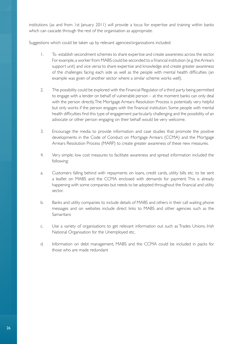institutions (as and from 1st January 2011) will provide a locus for expertise and training within banks which can cascade through the rest of the organisation as appropriate.

Suggestions which could be taken up by relevant agencies/organisations included:

- 1. To establish secondment schemes to share expertise and create awareness across the sector. For example, a worker from MABS could be seconded to a financial institution (e.g. the Arrears support unit) and vice versa to share expertise and knowledge and create greater awareness of the challenges facing each side as well as the people with mental health difficulties (an example was given of another sector where a similar scheme works well).
- 2. The possibility could be explored with the Financial Regulator of a third party being permitted to engage with a lender on behalf of vulnerable person – at the moment banks can only deal with the person directly. The Mortgage Arrears Resolution Process is potentially very helpful but only works if the person engages with the financial institution. Some people with mental health difficulties find this type of engagement particularly challenging and the possibility of an advocate or other person engaging on their behalf would be very welcome.
- 3. Encourage the media to provide information and case studies that promote the positive developments in the Code of Conduct on Mortgage Arrears (CCMA) and the Mortgage Arrears Resolution Process (MARP) to create greater awareness of these new measures.
- 4. Very simple, low cost measures to facilitate awareness and spread information included the following:
- a. Customers falling behind with repayments on loans, credit cards, utility bills etc. to be sent a leaflet on MABS and the CCMA enclosed with demands for payment. This is already happening with some companies but needs to be adopted throughout the financial and utility sector.
- b. Banks and utility companies to include details of MABS and others in their call waiting phone messages and on websites include direct links to MABS and other agencies such as the **Samaritans**
- c. Use a variety of organisations to get relevant information out such as Trades Unions, Irish National Organisation for the Unemployed etc.
- d. Information on debt management, MABS and the CCMA could be included in packs for those who are made redundant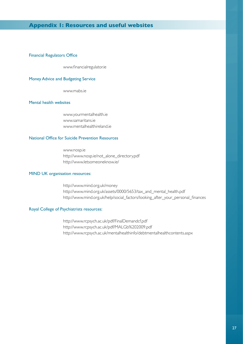#### **Appendix 1: Resources and useful websites**

#### Financial Regulators Office

www.financialregulator.ie

#### Money Advice and Budgeting Service

www.mabs.ie

#### Mental health websites

www.yourmentalhealth.ie www.samaritans.ie www.mentalhealthireland.ie

#### National Office for Suicide Prevention Resources

www.nosp.ie http://www.nosp.ie/not\_alone\_directory.pdf http://www.letsomeoneknow.ie/

#### MIND UK organisation resources:

http://www.mind.org.uk/money http://www.mind.org.uk/assets/0000/5653/tax\_and\_mental\_health.pdf http://www.mind.org.uk/help/social\_factors/looking\_after\_your\_personal\_finances

#### Royal College of Psychiatrists resources:

http://www.rcpsych.ac.uk/pdf/FinalDemandcf.pdf http://www.rcpsych.ac.uk/pdf/MALGb%202009.pdf http://www.rcpsych.ac.uk/mentalhealthinfo/debtmentalhealthcontents.aspx